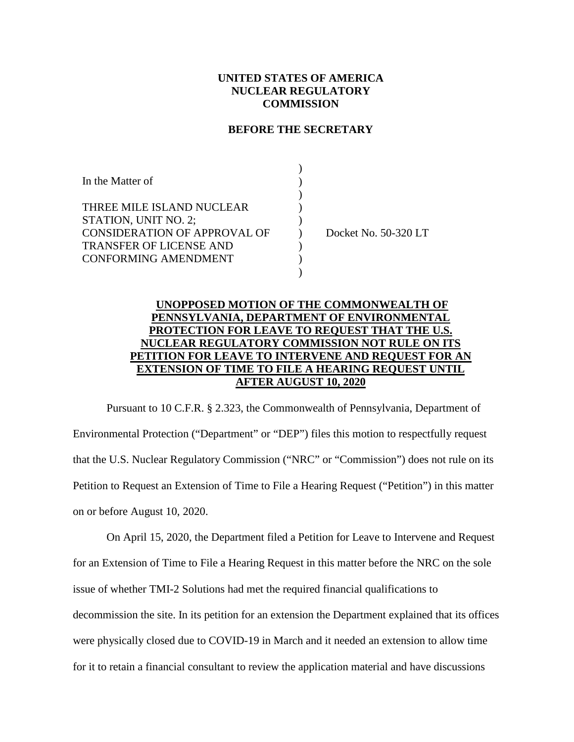## **UNITED STATES OF AMERICA NUCLEAR REGULATORY COMMISSION**

### **BEFORE THE SECRETARY**

| In the Matter of                    |                      |
|-------------------------------------|----------------------|
|                                     |                      |
| THREE MILE ISLAND NUCLEAR           |                      |
| STATION, UNIT NO. 2;                |                      |
| <b>CONSIDERATION OF APPROVAL OF</b> | Docket No. 50-320 LT |
| <b>TRANSFER OF LICENSE AND</b>      |                      |
| <b>CONFORMING AMENDMENT</b>         |                      |
|                                     |                      |

# **UNOPPOSED MOTION OF THE COMMONWEALTH OF PENNSYLVANIA, DEPARTMENT OF ENVIRONMENTAL PROTECTION FOR LEAVE TO REQUEST THAT THE U.S. NUCLEAR REGULATORY COMMISSION NOT RULE ON ITS PETITION FOR LEAVE TO INTERVENE AND REQUEST FOR AN EXTENSION OF TIME TO FILE A HEARING REQUEST UNTIL AFTER AUGUST 10, 2020**

Pursuant to 10 C.F.R. § 2.323, the Commonwealth of Pennsylvania, Department of Environmental Protection ("Department" or "DEP") files this motion to respectfully request that the U.S. Nuclear Regulatory Commission ("NRC" or "Commission") does not rule on its Petition to Request an Extension of Time to File a Hearing Request ("Petition") in this matter on or before August 10, 2020.

On April 15, 2020, the Department filed a Petition for Leave to Intervene and Request for an Extension of Time to File a Hearing Request in this matter before the NRC on the sole issue of whether TMI-2 Solutions had met the required financial qualifications to decommission the site. In its petition for an extension the Department explained that its offices were physically closed due to COVID-19 in March and it needed an extension to allow time for it to retain a financial consultant to review the application material and have discussions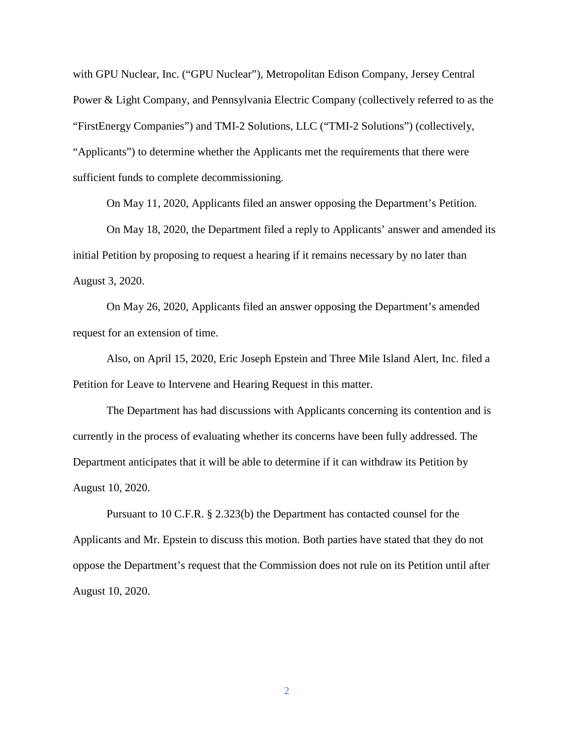with GPU Nuclear, Inc. ("GPU Nuclear"), Metropolitan Edison Company, Jersey Central Power & Light Company, and Pennsylvania Electric Company (collectively referred to as the "FirstEnergy Companies") and TMI-2 Solutions, LLC ("TMI-2 Solutions") (collectively, "Applicants") to determine whether the Applicants met the requirements that there were sufficient funds to complete decommissioning.

On May 11, 2020, Applicants filed an answer opposing the Department's Petition.

On May 18, 2020, the Department filed a reply to Applicants' answer and amended its initial Petition by proposing to request a hearing if it remains necessary by no later than August 3, 2020.

On May 26, 2020, Applicants filed an answer opposing the Department's amended request for an extension of time.

Also, on April 15, 2020, Eric Joseph Epstein and Three Mile Island Alert, Inc. filed a Petition for Leave to Intervene and Hearing Request in this matter.

The Department has had discussions with Applicants concerning its contention and is currently in the process of evaluating whether its concerns have been fully addressed. The Department anticipates that it will be able to determine if it can withdraw its Petition by August 10, 2020.

Pursuant to 10 C.F.R. § 2.323(b) the Department has contacted counsel for the Applicants and Mr. Epstein to discuss this motion. Both parties have stated that they do not oppose the Department's request that the Commission does not rule on its Petition until after August 10, 2020.

2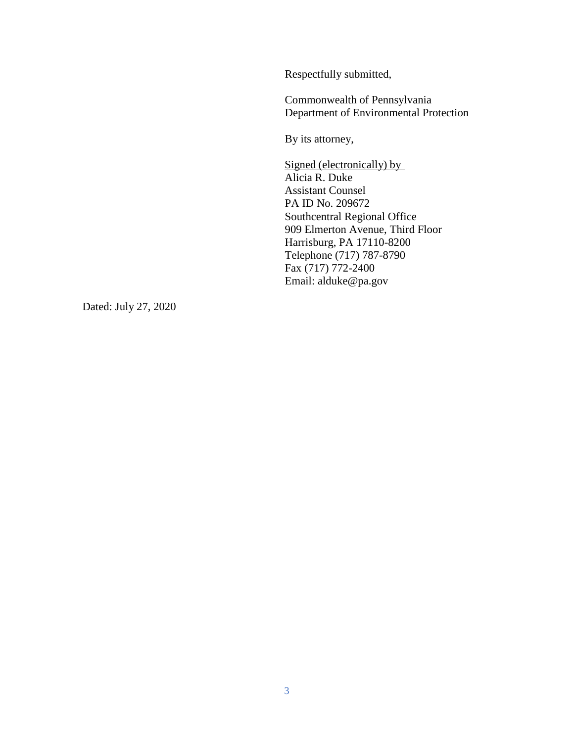Respectfully submitted,

Commonwealth of Pennsylvania Department of Environmental Protection

By its attorney,

Signed (electronically) by Alicia R. Duke Assistant Counsel PA ID No. 209672 Southcentral Regional Office 909 Elmerton Avenue, Third Floor Harrisburg, PA 17110-8200 Telephone (717) 787-8790 Fax (717) 772-2400 Email: alduke@pa.gov

Dated: July 27, 2020